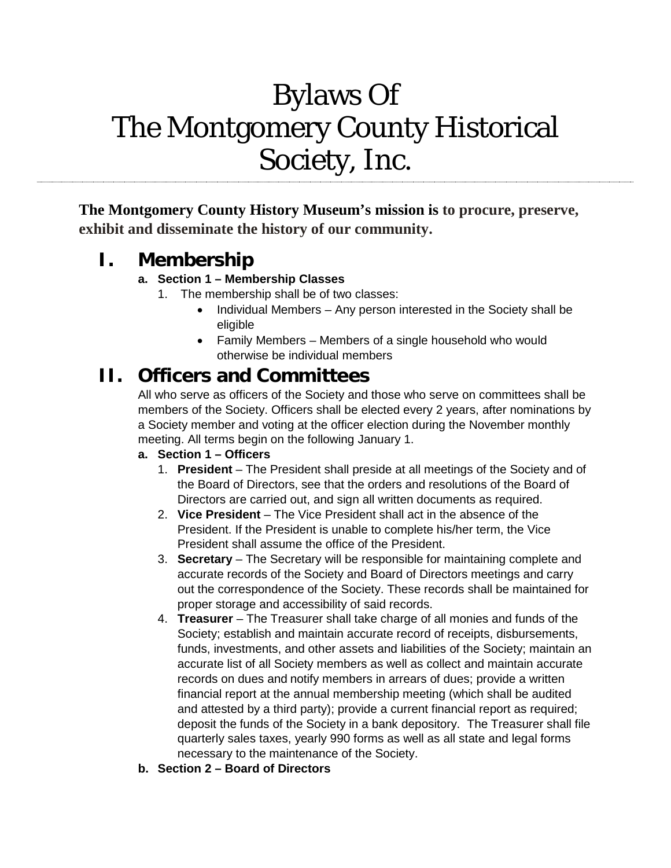# Bylaws Of The Montgomery County Historical Society, Inc.

**The Montgomery County History Museum's mission is to procure, preserve, exhibit and disseminate the history of our community.**

# **I. Membership**

#### **a. Section 1 – Membership Classes**

- 1. The membership shall be of two classes:
	- Individual Members Any person interested in the Society shall be eligible
	- Family Members Members of a single household who would otherwise be individual members

# **II. Officers and Committees**

All who serve as officers of the Society and those who serve on committees shall be members of the Society. Officers shall be elected every 2 years, after nominations by a Society member and voting at the officer election during the November monthly meeting. All terms begin on the following January 1.

#### **a. Section 1 – Officers**

- 1. **President**  The President shall preside at all meetings of the Society and of the Board of Directors, see that the orders and resolutions of the Board of Directors are carried out, and sign all written documents as required.
- 2. **Vice President** The Vice President shall act in the absence of the President. If the President is unable to complete his/her term, the Vice President shall assume the office of the President.
- 3. **Secretary** The Secretary will be responsible for maintaining complete and accurate records of the Society and Board of Directors meetings and carry out the correspondence of the Society. These records shall be maintained for proper storage and accessibility of said records.
- 4. **Treasurer** The Treasurer shall take charge of all monies and funds of the Society; establish and maintain accurate record of receipts, disbursements, funds, investments, and other assets and liabilities of the Society; maintain an accurate list of all Society members as well as collect and maintain accurate records on dues and notify members in arrears of dues; provide a written financial report at the annual membership meeting (which shall be audited and attested by a third party); provide a current financial report as required; deposit the funds of the Society in a bank depository. The Treasurer shall file quarterly sales taxes, yearly 990 forms as well as all state and legal forms necessary to the maintenance of the Society.
- **b. Section 2 – Board of Directors**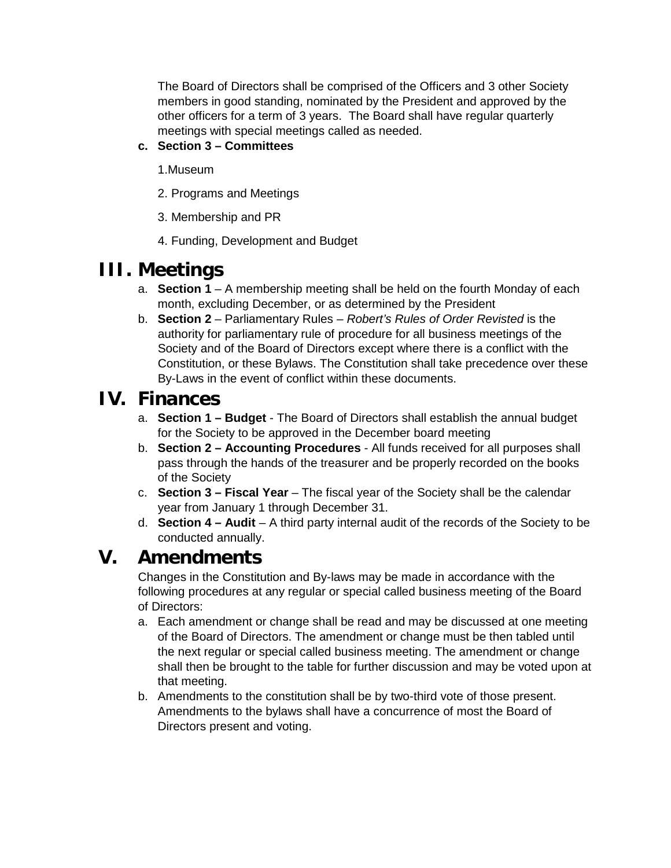The Board of Directors shall be comprised of the Officers and 3 other Society members in good standing, nominated by the President and approved by the other officers for a term of 3 years. The Board shall have regular quarterly meetings with special meetings called as needed.

#### **c. Section 3 – Committees**

- 1.Museum
- 2. Programs and Meetings
- 3. Membership and PR
- 4. Funding, Development and Budget

## **III. Meetings**

- a. **Section 1** A membership meeting shall be held on the fourth Monday of each month, excluding December, or as determined by the President
- b. **Section 2** Parliamentary Rules *Robert's Rules of Order Revisted* is the authority for parliamentary rule of procedure for all business meetings of the Society and of the Board of Directors except where there is a conflict with the Constitution, or these Bylaws. The Constitution shall take precedence over these By-Laws in the event of conflict within these documents.

### **IV. Finances**

- a. **Section 1 – Budget** The Board of Directors shall establish the annual budget for the Society to be approved in the December board meeting
- b. **Section 2 – Accounting Procedures** All funds received for all purposes shall pass through the hands of the treasurer and be properly recorded on the books of the Society
- c. **Section 3 – Fiscal Year** The fiscal year of the Society shall be the calendar year from January 1 through December 31.
- d. **Section 4 – Audit** A third party internal audit of the records of the Society to be conducted annually.

## **V. Amendments**

Changes in the Constitution and By-laws may be made in accordance with the following procedures at any regular or special called business meeting of the Board of Directors:

- a. Each amendment or change shall be read and may be discussed at one meeting of the Board of Directors. The amendment or change must be then tabled until the next regular or special called business meeting. The amendment or change shall then be brought to the table for further discussion and may be voted upon at that meeting.
- b. Amendments to the constitution shall be by two-third vote of those present. Amendments to the bylaws shall have a concurrence of most the Board of Directors present and voting.